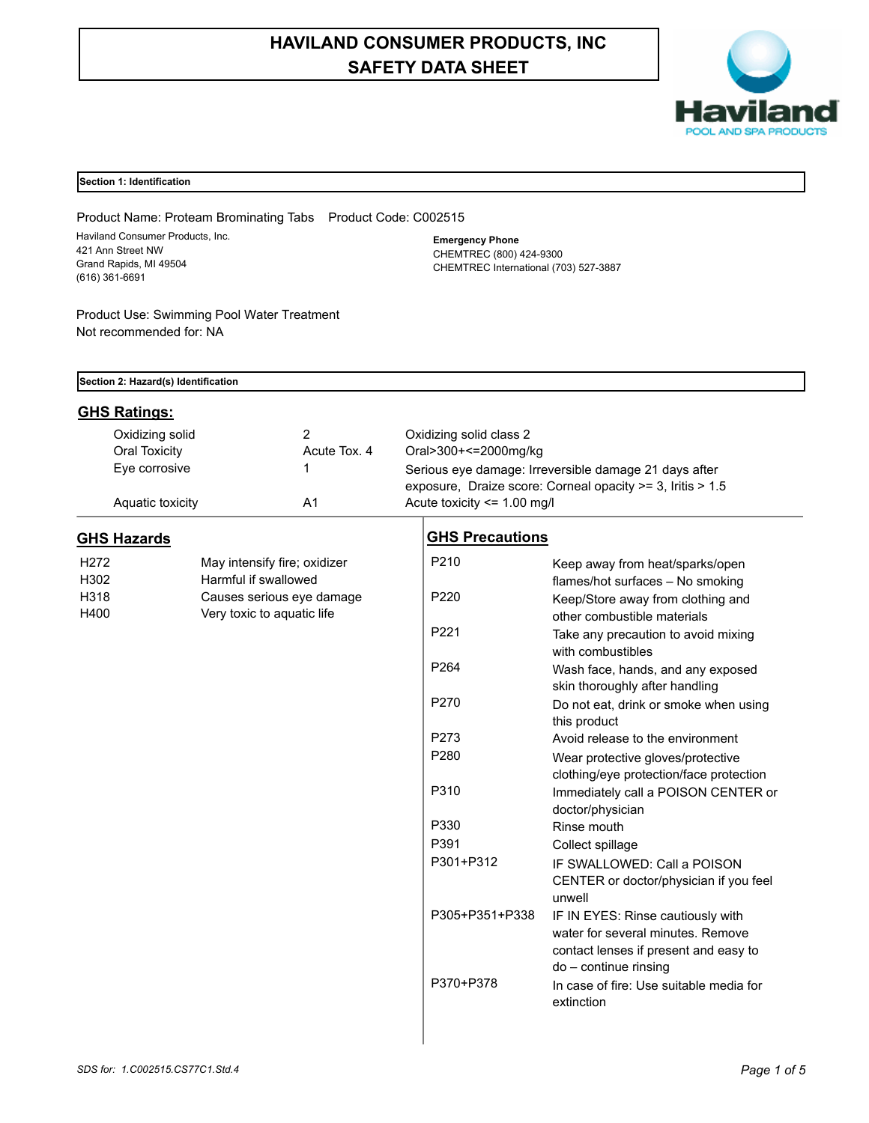# **HAVILAND CONSUMER PRODUCTS, INC SAFETY DATA SHEET**



## **Section 1: Identification**

Product Name: Proteam Brominating Tabs Product Code: C002515 Haviland Consumer Products, Inc. 421 Ann Street NW Grand Rapids, MI 49504 (616) 361-6691

Product Use: Swimming Pool Water Treatment Not recommended for: NA

**Emergency Phone** CHEMTREC (800) 424-9300 CHEMTREC International (703) 527-3887

| Section 2: Hazard(s) Identification |                                    |                              |                                                                                                                     |                                         |  |  |
|-------------------------------------|------------------------------------|------------------------------|---------------------------------------------------------------------------------------------------------------------|-----------------------------------------|--|--|
| <b>GHS Ratings:</b>                 |                                    |                              |                                                                                                                     |                                         |  |  |
| Oxidizing solid                     |                                    | 2                            | Oxidizing solid class 2                                                                                             |                                         |  |  |
| Oral Toxicity                       |                                    | Acute Tox. 4                 | Oral>300+<=2000mg/kg                                                                                                |                                         |  |  |
| Eye corrosive<br>1                  |                                    |                              | Serious eye damage: Irreversible damage 21 days after<br>exposure, Draize score: Corneal opacity >= 3, Iritis > 1.5 |                                         |  |  |
|                                     |                                    |                              |                                                                                                                     |                                         |  |  |
|                                     | A <sub>1</sub><br>Aquatic toxicity |                              | Acute toxicity <= 1.00 mg/l                                                                                         |                                         |  |  |
| <b>GHS Hazards</b>                  |                                    |                              | <b>GHS Precautions</b>                                                                                              |                                         |  |  |
| H272                                |                                    | May intensify fire; oxidizer | P <sub>210</sub>                                                                                                    | Keep away from heat/sparks/open         |  |  |
| H302                                |                                    | Harmful if swallowed         |                                                                                                                     | flames/hot surfaces - No smoking        |  |  |
| H318                                |                                    | Causes serious eye damage    | P <sub>220</sub>                                                                                                    | Keep/Store away from clothing and       |  |  |
| H400                                |                                    | Very toxic to aquatic life   |                                                                                                                     | other combustible materials             |  |  |
|                                     |                                    |                              | P <sub>221</sub>                                                                                                    | Take any precaution to avoid mixing     |  |  |
|                                     |                                    |                              |                                                                                                                     | with combustibles                       |  |  |
|                                     |                                    |                              | P <sub>264</sub>                                                                                                    | Wash face, hands, and any exposed       |  |  |
|                                     |                                    |                              |                                                                                                                     | skin thoroughly after handling          |  |  |
|                                     |                                    |                              | P <sub>270</sub>                                                                                                    | Do not eat, drink or smoke when using   |  |  |
|                                     |                                    |                              |                                                                                                                     | this product                            |  |  |
|                                     |                                    |                              | P273                                                                                                                | Avoid release to the environment        |  |  |
|                                     |                                    |                              | P <sub>280</sub>                                                                                                    | Wear protective gloves/protective       |  |  |
|                                     |                                    |                              |                                                                                                                     | clothing/eye protection/face protection |  |  |
|                                     |                                    |                              | P310                                                                                                                | Immediately call a POISON CENTER or     |  |  |
|                                     |                                    |                              |                                                                                                                     | doctor/physician                        |  |  |
|                                     |                                    |                              | P330                                                                                                                | Rinse mouth                             |  |  |
|                                     |                                    |                              | P391                                                                                                                | Collect spillage                        |  |  |
|                                     |                                    |                              | P301+P312                                                                                                           | IF SWALLOWED: Call a POISON             |  |  |
|                                     |                                    |                              |                                                                                                                     | CENTER or doctor/physician if you feel  |  |  |
|                                     |                                    |                              |                                                                                                                     | unwell                                  |  |  |
|                                     |                                    |                              | P305+P351+P338                                                                                                      | IF IN EYES: Rinse cautiously with       |  |  |
|                                     |                                    |                              |                                                                                                                     | water for several minutes. Remove       |  |  |
|                                     |                                    |                              |                                                                                                                     | contact lenses if present and easy to   |  |  |
|                                     |                                    |                              |                                                                                                                     | do - continue rinsing                   |  |  |
|                                     |                                    |                              | P370+P378                                                                                                           | In case of fire: Use suitable media for |  |  |
|                                     |                                    |                              |                                                                                                                     | extinction                              |  |  |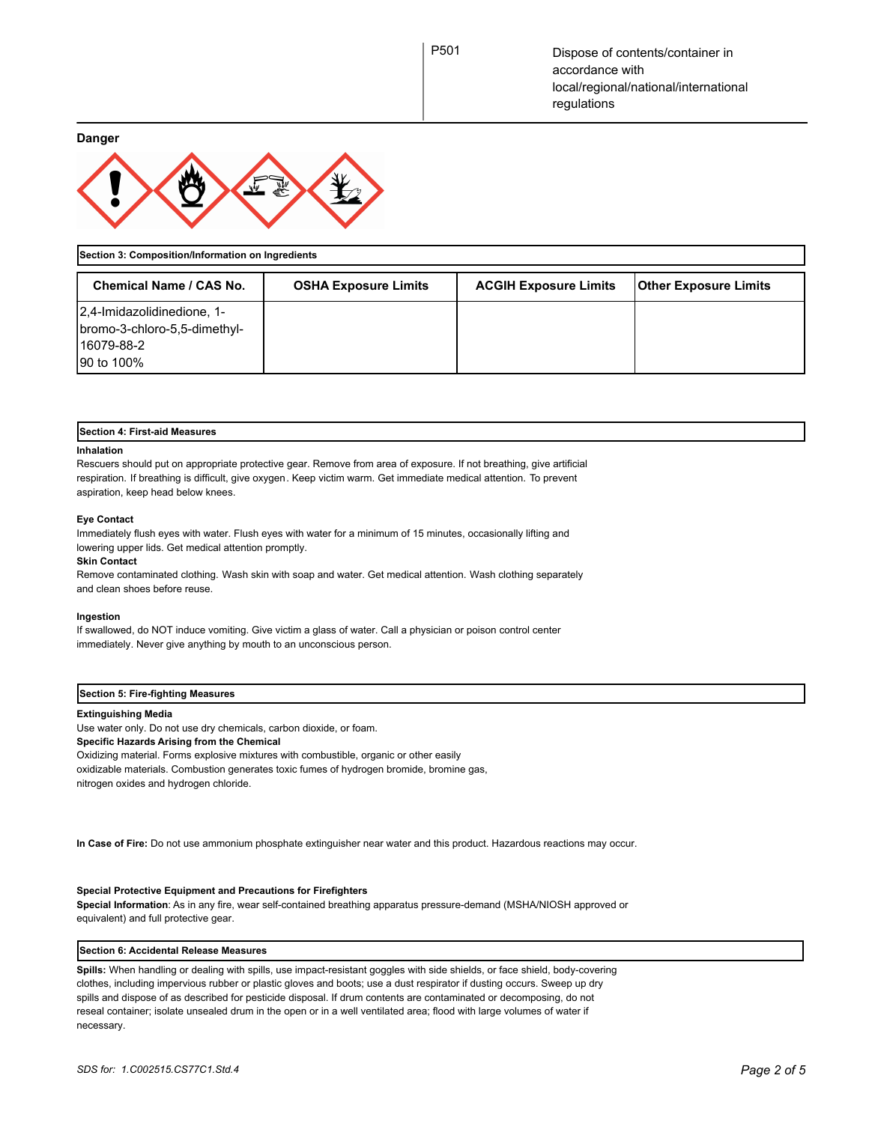**Danger**



**Section 3: Composition/Information on Ingredients**

| Chemical Name / CAS No.                                                                | <b>OSHA Exposure Limits</b> | <b>ACGIH Exposure Limits</b> | <b>Other Exposure Limits</b> |
|----------------------------------------------------------------------------------------|-----------------------------|------------------------------|------------------------------|
| 2,4-Imidazolidinedione, 1-<br>bromo-3-chloro-5,5-dimethyl-<br>16079-88-2<br>90 to 100% |                             |                              |                              |

## **Section 4: First-aid Measures**

#### **Inhalation**

Rescuers should put on appropriate protective gear. Remove from area of exposure. If not breathing, give artificial respiration. If breathing is difficult, give oxygen. Keep victim warm. Get immediate medical attention. To prevent aspiration, keep head below knees.

#### **Eye Contact**

Immediately flush eyes with water. Flush eyes with water for a minimum of 15 minutes, occasionally lifting and lowering upper lids. Get medical attention promptly.

#### **Skin Contact**

Remove contaminated clothing. Wash skin with soap and water. Get medical attention. Wash clothing separately and clean shoes before reuse.

#### **Ingestion**

If swallowed, do NOT induce vomiting. Give victim a glass of water. Call a physician or poison control center immediately. Never give anything by mouth to an unconscious person.

## **Section 5: Fire-fighting Measures**

### **Extinguishing Media**

Use water only. Do not use dry chemicals, carbon dioxide, or foam. **Specific Hazards Arising from the Chemical** Oxidizing material. Forms explosive mixtures with combustible, organic or other easily oxidizable materials. Combustion generates toxic fumes of hydrogen bromide, bromine gas, nitrogen oxides and hydrogen chloride.

**In Case of Fire:** Do not use ammonium phosphate extinguisher near water and this product. Hazardous reactions may occur.

## **Special Protective Equipment and Precautions for Firefighters**

**Special Information**: As in any fire, wear self-contained breathing apparatus pressure-demand (MSHA/NIOSH approved or equivalent) and full protective gear.

## **Section 6: Accidental Release Measures**

**Spills:** When handling or dealing with spills, use impact-resistant goggles with side shields, or face shield, body-covering clothes, including impervious rubber or plastic gloves and boots; use a dust respirator if dusting occurs. Sweep up dry spills and dispose of as described for pesticide disposal. If drum contents are contaminated or decomposing, do not reseal container; isolate unsealed drum in the open or in a well ventilated area; flood with large volumes of water if necessary.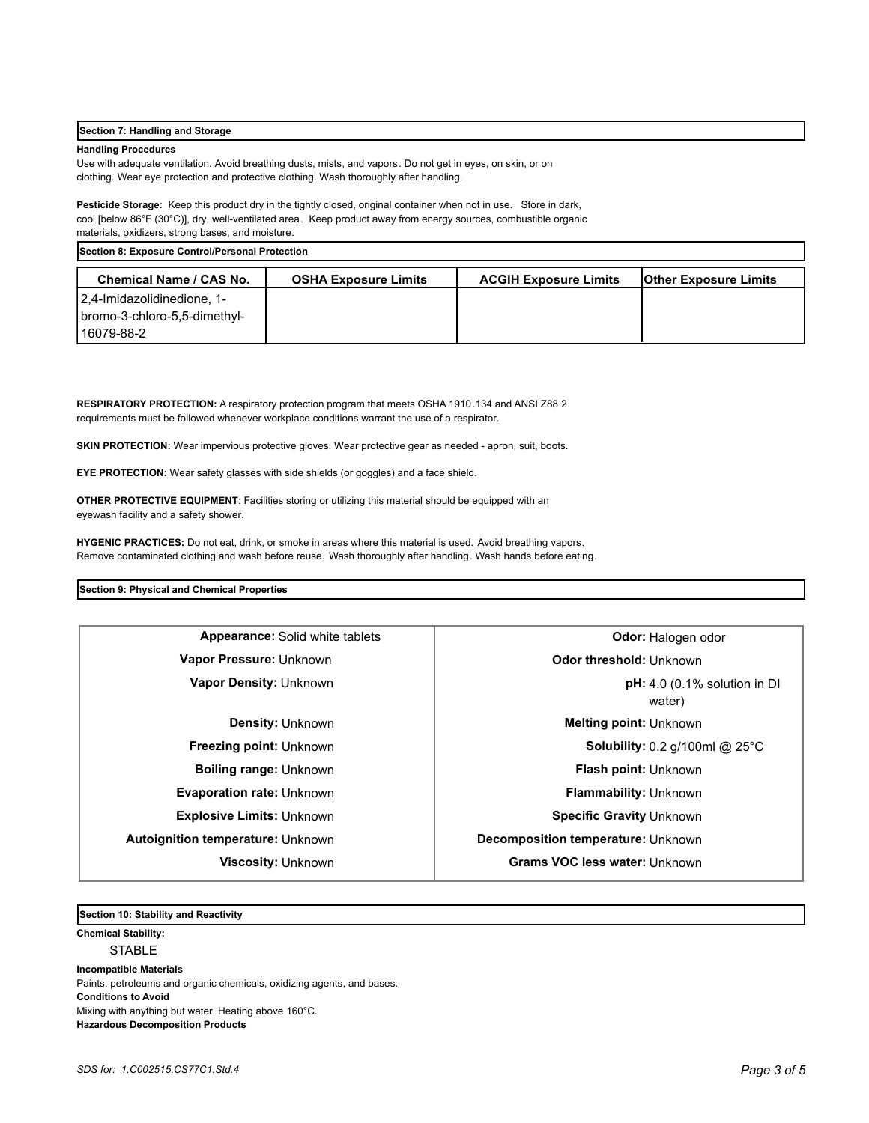## **Section 7: Handling and Storage**

## **Handling Procedures**

Use with adequate ventilation. Avoid breathing dusts, mists, and vapors. Do not get in eyes, on skin, or on clothing. Wear eye protection and protective clothing. Wash thoroughly after handling.

**Pesticide Storage:** Keep this product dry in the tightly closed, original container when not in use. Store in dark, cool [below 86°F (30°C)], dry, well-ventilated area. Keep product away from energy sources, combustible organic materials, oxidizers, strong bases, and moisture.

**Section 8: Exposure Control/Personal Protection** 

| <b>Chemical Name / CAS No.</b>                                                | <b>OSHA Exposure Limits</b> | <b>ACGIH Exposure Limits</b> | <b>Other Exposure Limits</b> |
|-------------------------------------------------------------------------------|-----------------------------|------------------------------|------------------------------|
| 1- 2.4-Imidazolidinedione, 1-<br>-lbromo-3-chloro-5,5-dimethyl<br>116079-88-2 |                             |                              |                              |

**RESPIRATORY PROTECTION:** A respiratory protection program that meets OSHA 1910.134 and ANSI Z88.2 requirements must be followed whenever workplace conditions warrant the use of a respirator.

**SKIN PROTECTION:** Wear impervious protective gloves. Wear protective gear as needed - apron, suit, boots.

**EYE PROTECTION:** Wear safety glasses with side shields (or goggles) and a face shield.

**OTHER PROTECTIVE EQUIPMENT**: Facilities storing or utilizing this material should be equipped with an eyewash facility and a safety shower.

**HYGENIC PRACTICES:** Do not eat, drink, or smoke in areas where this material is used. Avoid breathing vapors. Remove contaminated clothing and wash before reuse. Wash thoroughly after handling. Wash hands before eating.

## **Section 9: Physical and Chemical Properties**

| <b>Appearance:</b> Solid white tablets   | <b>Odor: Halogen odor</b>                           |  |
|------------------------------------------|-----------------------------------------------------|--|
| Vapor Pressure: Unknown                  | Odor threshold: Unknown                             |  |
| <b>Vapor Density: Unknown</b>            | $pH: 4.0$ (0.1% solution in DI<br>water)            |  |
| <b>Density: Unknown</b>                  | <b>Melting point: Unknown</b>                       |  |
| <b>Freezing point: Unknown</b>           | <b>Solubility:</b> 0.2 $q/100$ ml @ 25 $^{\circ}$ C |  |
| <b>Boiling range: Unknown</b>            | Flash point: Unknown                                |  |
| <b>Evaporation rate: Unknown</b>         | <b>Flammability: Unknown</b>                        |  |
| <b>Explosive Limits: Unknown</b>         | Specific Gravity Unknown                            |  |
| <b>Autoignition temperature: Unknown</b> | Decomposition temperature: Unknown                  |  |
| Viscosity: Unknown                       | Grams VOC less water: Unknown                       |  |
|                                          |                                                     |  |

**Section 10: Stability and Reactivity** 

## **Chemical Stability:**

STABLE

**Incompatible Materials**  Paints, petroleums and organic chemicals, oxidizing agents, and bases. **Conditions to Avoid** Mixing with anything but water. Heating above 160°C. **Hazardous Decomposition Products**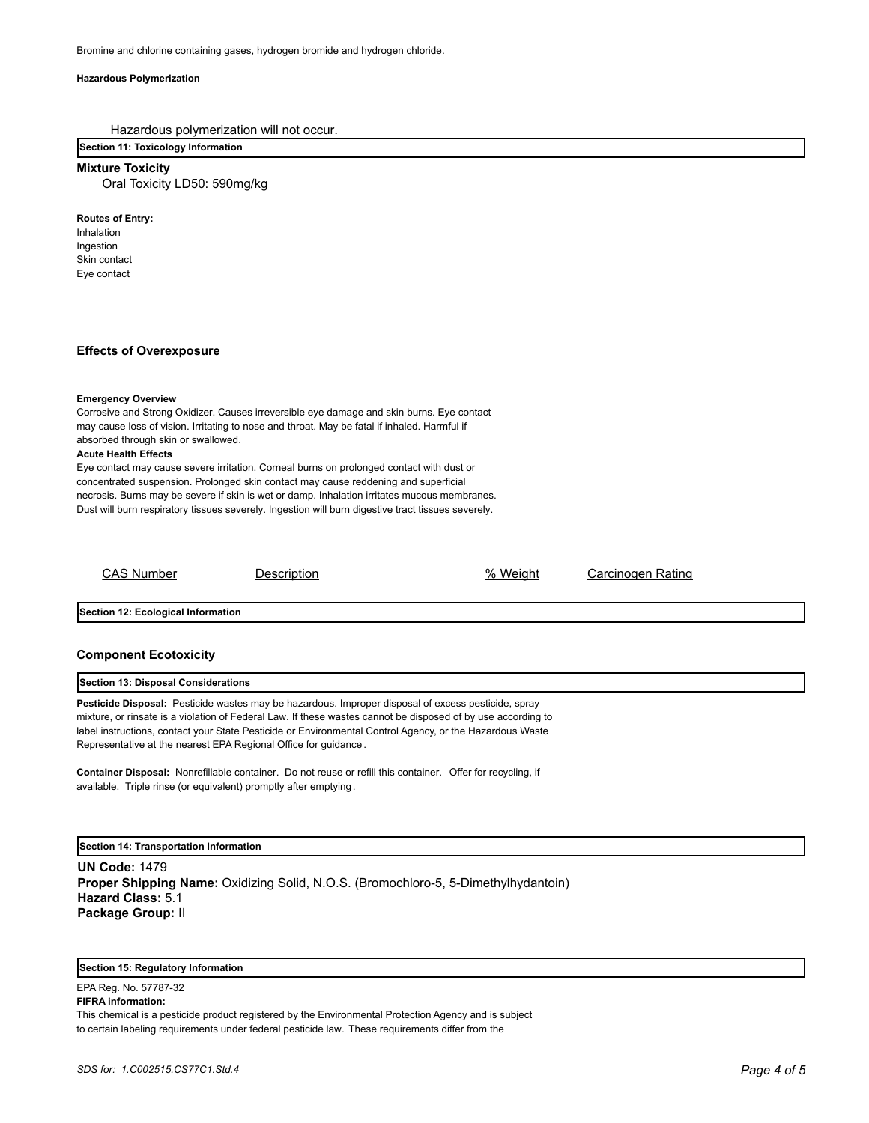## **Hazardous Polymerization**

Hazardous polymerization will not occur.

## **Section 11: Toxicology Information**

**Mixture Toxicity**

Oral Toxicity LD50: 590mg/kg

**Routes of Entry:**

Inhalation Ingestion Skin contact Eye contact

## **Effects of Overexposure**

## **Emergency Overview**

Corrosive and Strong Oxidizer. Causes irreversible eye damage and skin burns. Eye contact may cause loss of vision. Irritating to nose and throat. May be fatal if inhaled. Harmful if absorbed through skin or swallowed.

## **Acute Health Effects**

Eye contact may cause severe irritation. Corneal burns on prolonged contact with dust or concentrated suspension. Prolonged skin contact may cause reddening and superficial necrosis. Burns may be severe if skin is wet or damp. Inhalation irritates mucous membranes. Dust will burn respiratory tissues severely. Ingestion will burn digestive tract tissues severely.

CAS Number Description % Weight Carcinogen Rating

**Section 12: Ecological Information**

## **Component Ecotoxicity**

## **Section 13: Disposal Considerations**

**Pesticide Disposal:** Pesticide wastes may be hazardous. Improper disposal of excess pesticide, spray mixture, or rinsate is a violation of Federal Law. If these wastes cannot be disposed of by use according to label instructions, contact your State Pesticide or Environmental Control Agency, or the Hazardous Waste Representative at the nearest EPA Regional Office for guidance .

**Container Disposal:** Nonrefillable container. Do not reuse or refill this container. Offer for recycling, if available. Triple rinse (or equivalent) promptly after emptying.

**Section 14: Transportation Information**

**UN Code:** 1479 **Proper Shipping Name:** Oxidizing Solid, N.O.S. (Bromochloro-5, 5-Dimethylhydantoin) **Hazard Class:** 5.1 **Package Group:** II

## **Section 15: Regulatory Information**

EPA Reg. No. 57787-32 **FIFRA information:**

This chemical is a pesticide product registered by the Environmental Protection Agency and is subject to certain labeling requirements under federal pesticide law. These requirements differ from the